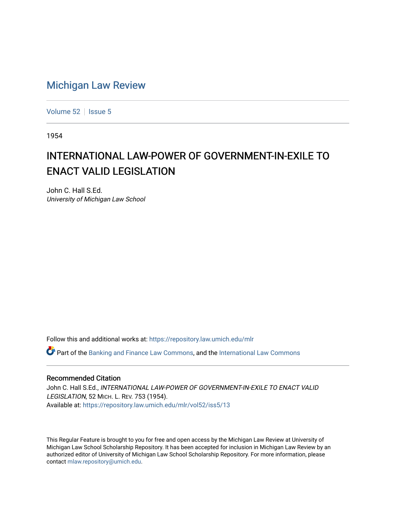## [Michigan Law Review](https://repository.law.umich.edu/mlr)

[Volume 52](https://repository.law.umich.edu/mlr/vol52) | [Issue 5](https://repository.law.umich.edu/mlr/vol52/iss5)

1954

## INTERNATIONAL LAW-POWER OF GOVERNMENT-IN-EXILE TO **ENACT VALID LEGISLATION**

John C. Hall S.Ed. University of Michigan Law School

Follow this and additional works at: [https://repository.law.umich.edu/mlr](https://repository.law.umich.edu/mlr?utm_source=repository.law.umich.edu%2Fmlr%2Fvol52%2Fiss5%2F13&utm_medium=PDF&utm_campaign=PDFCoverPages) 

 $\bullet$  Part of the [Banking and Finance Law Commons,](http://network.bepress.com/hgg/discipline/833?utm_source=repository.law.umich.edu%2Fmlr%2Fvol52%2Fiss5%2F13&utm_medium=PDF&utm_campaign=PDFCoverPages) and the [International Law Commons](http://network.bepress.com/hgg/discipline/609?utm_source=repository.law.umich.edu%2Fmlr%2Fvol52%2Fiss5%2F13&utm_medium=PDF&utm_campaign=PDFCoverPages)

## Recommended Citation

John C. Hall S.Ed., INTERNATIONAL LAW-POWER OF GOVERNMENT-IN-EXILE TO ENACT VALID LEGISLATION, 52 MICH. L. REV. 753 (1954). Available at: [https://repository.law.umich.edu/mlr/vol52/iss5/13](https://repository.law.umich.edu/mlr/vol52/iss5/13?utm_source=repository.law.umich.edu%2Fmlr%2Fvol52%2Fiss5%2F13&utm_medium=PDF&utm_campaign=PDFCoverPages) 

This Regular Feature is brought to you for free and open access by the Michigan Law Review at University of Michigan Law School Scholarship Repository. It has been accepted for inclusion in Michigan Law Review by an authorized editor of University of Michigan Law School Scholarship Repository. For more information, please contact [mlaw.repository@umich.edu](mailto:mlaw.repository@umich.edu).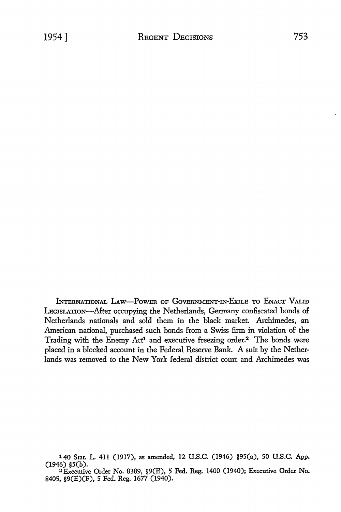INTERNATIONAL LAw-PowER OF GoVERNMENT-IN-EXILE To ENACT VALID LEGISLATION-After occupying the Netherlands, Germany confiscated bonds of Netherlands nationals and sold them in the black market. Archimedes, an American national, purchased such bonds from a Swiss firm in violation of the Trading with the Enemy Act<sup>1</sup> and executive freezing order.<sup>2</sup> The bonds were placed in a blocked account in the Federal Reserve Bank. A suit by the Netherlands was removed to the New York federal district court and Archimedes was

<sup>140</sup> Stat. L. 411 (1917), as amended, 12 U.S.C. (1946) §95(a), 50 U.S.C. App. (1946) §5(b).

<sup>2</sup>Executive Order No. 8389, §9(E), 5 Fed. Reg. 1400 (1940); Executive Order No. 8405, §9(E)(F), 5 Fed. Reg. 1677 (1940).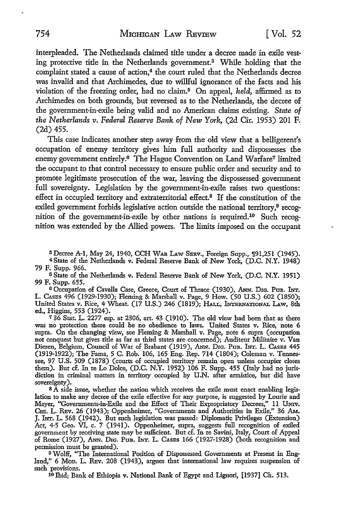interpleaded. The Netherlands claimed title under a decree made in exile vesting protective title in the Netherlands government.3 While holding that the complaint stated a cause of action,<sup>4</sup> the court ruled that the Netherlands decree was invalid and that Archimedes, due to willful ignorance of the facts and his violation of the freezing order, had no claim.5 On appeal, *held,* affirmed as to Archimedes on both grounds, but reversed as to the Netherlands, the decree of the government-in-exile being valid and no American claims existing. *State of the Netherlands v. Federal Reserve Bank of* New *York,* (2d Cir. 1953) 201 F. (2d) 455.

This case indicates another step away from the old view that a belligerent's occupation of enemy territory gives him full authority and dispossesses the enemy government entirely.<sup>6</sup> The Hague Convention on Land Warfare<sup>7</sup> limited the occupant to that control necessary to ensure public order and security and to promote legitimate prosecution of the war, leaving the dispossessed government full sovereignty. Legislation by the government-in-exile raises two questions: effect in occupied territory and extraterritorial effect.8 If the constitution of the exiled government forbids legislative action outside the national territory,<sup>9</sup> recognition of the government-in-exile by other nations is required.10 Such recognition was extended by the Allied powers. The limits imposed on the occupant

3 Decree A-1, May 24, 1940, CCH WAR LAw SERV., Foreign Supp., 191,251 (1945).

<sup>4</sup>State of the Netherlands v. Federal Reserve Bank of New York, (D.C. N.Y. 1948) 79 F. Supp. 966.

<sup>5</sup>State of the Netherlands v. Federal Reserve Bank of New York, (D.C. N.Y. 1951) 99 F. Supp. 655.

<sup>6</sup>Occupation of Cavalla Case, Greece, Court of Thrace (1930), ANN. DIG. Ptm. INT. L. CAsEs 496 (1929-1930); Fleming & Marshall v. Page, 9 How. (50 U.S.) 602 (1850); United States v. Rice, 4 Wheat. (17 U.S.) 246 (1819); HALL, lNrERNATIONAL LAw, 8th ed., Higgins, 553 (1924).

7 36 Stat. L. 2277 esp. at 2306, art. 43 (1910). The old view had been that as there was no protection there could be no obedience to laws. United States v. Rice, note 6 supra. On the changing view, see Fleming & Marshall v. Page, note 6 supra (occupation not conquest but gives title as far as third states are concerned); Auditeur Militaire v. Van Dieren, Belgium, Council of War of Brabant (1919), ANN. DIG. PuB. INT. L. CASES 445 (1919-1922); The Fama, 5 C. Rob. 106, 165 Eng. Rep. 714 (1804); Coleman v. Tennessee, 97 U.S. 509 (1878) (courts of occupied territory remain open uuless occupier closes them). But cf. In re Lo Dolce, (D.C. N.Y. 1952) 106 F. Supp. 455 (Italy had no jurisdiction in criminal matters in territory occupied by U.N. after armistice, but did have sovereignty).

s A side issue, whether the nation which receives the exile must enact enabling legislation to make any decree of the exile effective for any purpose, is suggested by Lourie and Meyer, "Governments-in-Exile and the Effect of Their Expropriatory Decrees," 11 Umv. Cm. L. REv. 26 (1943); Oppenheimer, "Governments and Authorities in Exile," 36 AM. J. INT. L. 568 (1942). But such legislation was passed: Diplomatic Privileges (Extension) Act, 4-5 Geo. VI, c. 7 (1941). Oppenheimer, supra, suggests full recognition of exiled government by receiving state may be sufficient. But cf. In re Savini, Italy, Court of Appeal of Rome (1927), ANN. DIG. PuB. INT. L. CASES 166 (1927-1928) (both recognition and permission must be granted).

9 Wolff, "The International Position of Dispossessed Governments at Present in England," 6 Mon. L. REv. 208 (1943), argues that international law requires suspension of such provisions.

10 Ibid; Bank of Ethiopia v. National Bank of Egypt and Liguori, [1937] Ch. 513.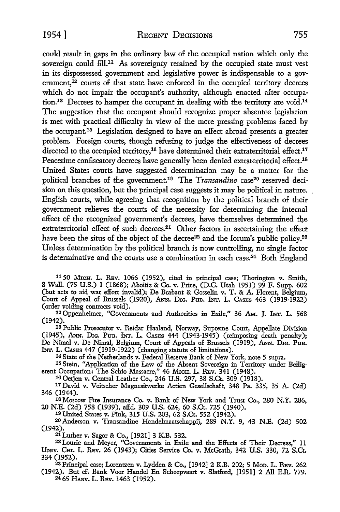could result in gaps in the ordinary law of the occupied nation which only the sovereign could fill.<sup>11</sup> As sovereignty retained by the occupied state must vest in its dispossessed government and legislative power is indispensable to a government, $^{12}$  courts of that state have enforced in the occupied territory decrees which do not impair the occupant's authority, although enacted after occupation.<sup>18</sup> Decrees to hamper the occupant in dealing with the territory are void.<sup>14</sup> The suggestion that the occupant should recognize proper absentee legislation is met with practical difficulty in view of the more pressing problems faced by the occupant.15 Legislation designed to have an effect abroad presents a greater problem. Foreign courts, though refusing to judge the effectiveness of decrees directed to the occupied territory,<sup>16</sup> have determined their extraterritorial effect.<sup>17</sup> Peacetime confiscatory decrees have generally been denied extraterritorial effect.<sup>18</sup> United States courts have suggested determination may be a matter for the political branches of the government.<sup>19</sup> The *Transandine* case<sup>20</sup> reserved decision on this question, but the principal case suggests it may be political in nature. . English courts, while agreeing that recognition by the political branch of their government relieves the courts of the necessity for determining the internal effect of the recognized government's decrees, have themselves determined the extraterritorial effect of such decrees.21 Other factors in ascertaining the effect have been the situs of the object of the decree<sup>22</sup> and the forum's public policy.<sup>23</sup> Unless determination by the political branch is now controlling, no single factor is determinative and the courts use a combination in each case.<sup>24</sup> Both England

11 50 MICH. L. REV. 1066 (1952), cited in principal case; Thorington v. Smith, 8 Wall. (75 U.S.) 1 (1868); Aboitiz & Co. v. Price, (D.C. Utah 1951) 99 F. Supp. 602 (but acts to aid war effort invalid); De Brabant & Gosselin v. T. & A. Florent, Belgium, Court of Appeal of Brussels (1920), ANN. Drc. Pub. INT. L. CASES 463 (1919-1922) (order voiding contracts void).

12 Oppenheimer, "Governments and Authorities in Exile," 36 AM. J. INT. L. 568 (1942).

13 Public Prosecutor v. Reidar Haaland, Norway, Supreme Court, Appellate Division (1945), ANN. DIG. PUB. INT. L. CASES 444 (1943-1945) (reimposing death penalty); De Nimal v. De Nimal, Belgium, Court of Appeals of Brussels (1919), ANN. DIG. PUB. INT. L. CASES 447 (1919-1922) (changing statute of limitations).

14 State of the Netherlands v. Federal Reserve Bank of New York, note 5 supra.

15 Stein, "Application of the Law of the Absent Sovereign in Territory under Belligerent Occupation: The Schio Massacre," 46 Mich. L. REv. 341 (1948).

16 Oetjen v. Central Leather Co., 246 U.S. 297, 38 S.Ct. 309 (1918).

17 David v. Veitscher Magnesitwerke Actien Gesellschaft, 348 Pa. 335, 35 A. (2d) 346 (1944).

18 Moscow Fire Insurance Co. v. Bank of New York and Trust Co., 280 N.Y. 286, 20 N.E. (2d) 758 (1939), affd. 309 U.S. 624, 60 S.Ct. 725 (1940). 10 United States v. Pink, 315 U.S. 203, 62 S.Ct. 552 (1942).

20 Anderson v. Transandine Handelmaatschappij, 289 N.Y. 9, 43 N.E. (2d) 502 (1942).

21 Luther v. Sagor & Co., [1921] 3 K.B. 532.

22 Lourie and Meyer, "Governments in Exile and the Effects of Their Decrees," 11 Umv. Cm. L. REv. 26 (1943); Cities Service Co. v. McGrath, 342 U.S. 330, 72 S.Ct. 334 (1952).

<sup>23</sup>Principal case; Lorentzen v. Lydden & Co., [1942] 2 K.B. 202; 5 MoD. L. REv. 262 (1942). But cf. Bank Voor Handel En Scheepvaart v. Slatford, [1951] 2 All E.R. 779. 24 65 HARv. L. REv. 1463 (1952).